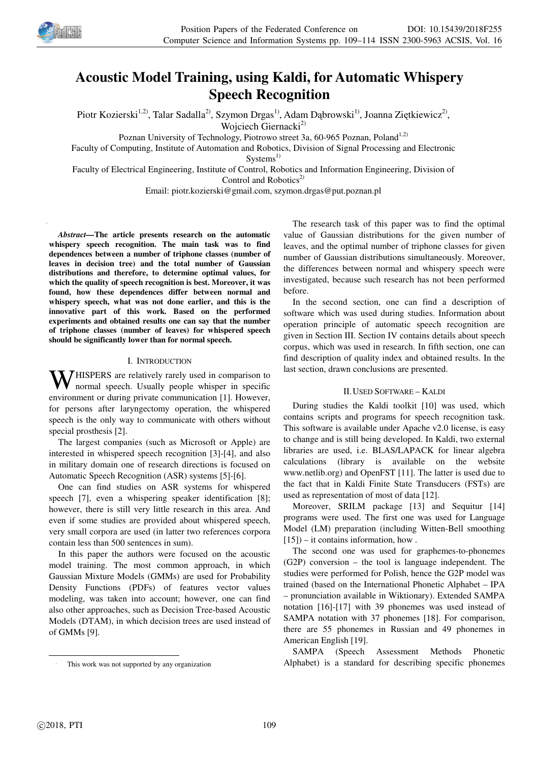

# **Acoustic Model Training, using Kaldi, for Automatic Whispery Speech Recognition**

Piotr Kozierski<sup>1,2)</sup>, Talar Sadalla<sup>2)</sup>, Szymon Drgas<sup>1)</sup>, Adam Dąbrowski<sup>1)</sup>, Joanna Ziętkiewicz<sup>2)</sup>, Woiciech Giernacki<sup>2)</sup>

Poznan University of Technology, Piotrowo street 3a, 60-965 Poznan, Poland<sup>1,2)</sup>

Faculty of Computing, Institute of Automation and Robotics, Division of Signal Processing and Electronic

 $Systems<sup>1</sup>$ 

Faculty of Electrical Engineering, Institute of Control, Robotics and Information Engineering, Division of Control and Robotics $^{2)}$ 

Email: piotr.kozierski@gmail.com, szymon.drgas@put.poznan.pl

*Abstract—***The article presents research on the automatic whispery speech recognition. The main task was to find dependences between a number of triphone classes (number of leaves in decision tree) and the total number of Gaussian distributions and therefore, to determine optimal values, for which the quality of speech recognition is best. Moreover, it was found, how these dependences differ between normal and whispery speech, what was not done earlier, and this is the innovative part of this work. Based on the performed experiments and obtained results one can say that the number of triphone classes (number of leaves) for whispered speech should be significantly lower than for normal speech.** 

## I. INTRODUCTION

**W** HISPERS are relatively rarely used in comparison to normal speech. Usually people whisper in specific normal speech. Usually people whisper in specific environment or during private communication [1]. However, for persons after laryngectomy operation, the whispered speech is the only way to communicate with others without special prosthesis [2].

The largest companies (such as Microsoft or Apple) are interested in whispered speech recognition [3]-[4], and also in military domain one of research directions is focused on Automatic Speech Recognition (ASR) systems [5]-[6].

One can find studies on ASR systems for whispered speech [7], even a whispering speaker identification [8]; however, there is still very little research in this area. And even if some studies are provided about whispered speech, very small corpora are used (in latter two references corpora contain less than 500 sentences in sum).

In this paper the authors were focused on the acoustic model training. The most common approach, in which Gaussian Mixture Models (GMMs) are used for Probability Density Functions (PDFs) of features vector values modeling, was taken into account; however, one can find also other approaches, such as Decision Tree-based Acoustic Models (DTAM), in which decision trees are used instead of of GMMs [9].

The research task of this paper was to find the optimal value of Gaussian distributions for the given number of leaves, and the optimal number of triphone classes for given number of Gaussian distributions simultaneously. Moreover, the differences between normal and whispery speech were investigated, because such research has not been performed before.

In the second section, one can find a description of software which was used during studies. Information about operation principle of automatic speech recognition are given in Section III. Section IV contains details about speech corpus, which was used in research. In fifth section, one can find description of quality index and obtained results. In the last section, drawn conclusions are presented.

### II.USED SOFTWARE – KALDI

During studies the Kaldi toolkit [10] was used, which contains scripts and programs for speech recognition task. This software is available under Apache v2.0 license, is easy to change and is still being developed. In Kaldi, two external libraries are used, i.e. BLAS/LAPACK for linear algebra calculations (library is available on the website www.netlib.org) and OpenFST [11]. The latter is used due to the fact that in Kaldi Finite State Transducers (FSTs) are used as representation of most of data [12].

Moreover, SRILM package [13] and Sequitur [14] programs were used. The first one was used for Language Model (LM) preparation (including Witten-Bell smoothing  $[15]$ ) – it contains information, how.

The second one was used for graphemes-to-phonemes (G2P) conversion – the tool is language independent. The studies were performed for Polish, hence the G2P model was trained (based on the International Phonetic Alphabet – IPA – pronunciation available in Wiktionary). Extended SAMPA notation [16]-[17] with 39 phonemes was used instead of SAMPA notation with 37 phonemes [18]. For comparison, there are 55 phonemes in Russian and 49 phonemes in American English [19].

SAMPA (Speech Assessment Methods Phonetic Alphabet) is a standard for describing specific phonemes

 $\overline{a}$ 

This work was not supported by any organization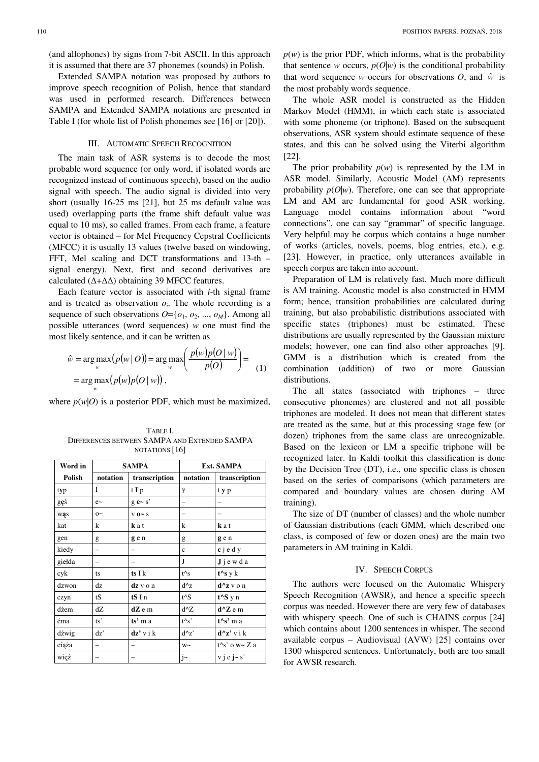Extended SAMPA notation was proposed by authors to improve speech recognition of Polish, hence that standard was used in performed research. Differences between SAMPA and Extended SAMPA notations are presented in Table I (for whole list of Polish phonemes see [16] or [20]).

#### III. AUTOMATIC SPEECH RECOGNITION

The main task of ASR systems is to decode the most probable word sequence (or only word, if isolated words are recognized instead of continuous speech), based on the audio signal with speech. The audio signal is divided into very short (usually 16-25 ms [21], but 25 ms default value was used) overlapping parts (the frame shift default value was equal to 10 ms), so called frames. From each frame, a feature vector is obtained – for Mel Frequency Cepstral Coefficients (MFCC) it is usually 13 values (twelve based on windowing, FFT, Mel scaling and DCT transformations and 13-th – signal energy). Next, first and second derivatives are calculated (∆+∆∆) obtaining 39 MFCC features.

Each feature vector is associated with *i*-th signal frame and is treated as observation  $o_i$ . The whole recording is a sequence of such observations  $O = \{o_1, o_2, ..., o_M\}$ . Among all possible utterances (word sequences) *w* one must find the most likely sentence, and it can be written as

$$
\hat{w} = \underset{w}{\arg \max} (p(w | O)) = \underset{w}{\arg \max} \left( \frac{p(w)p(O | w)}{p(O)} \right) =
$$
\n
$$
= \underset{w}{\arg \max} (p(w)p(O | w)),
$$

where  $p(w|O)$  is a posterior PDF, which must be maximized,

TABLE I. DIFFERENCES BETWEEN SAMPA AND EXTENDED SAMPA NOTATIONS [16]

| Word in | <b>SAMPA</b> |               | <b>Ext. SAMPA</b> |                            |
|---------|--------------|---------------|-------------------|----------------------------|
| Polish  | notation     | transcription | notation          | transcription              |
| typ     | I            | t I p         | у                 | t y p                      |
| gęś     | $e$ ~        | $g e - s'$    |                   |                            |
| was     | $0\sim$      | $V$ 0~ S      |                   |                            |
| kat     | k            | kat           | k                 | k a t                      |
| gen     | g            | g e n         | g                 | gen                        |
| kiedy   |              |               | $\mathbf{C}$      | $c$ j e d y                |
| giełda  | -            |               | J                 | $J$ j e w d a              |
| cyk     | ts           | ts I k        | $t^{\wedge}s$     | $t^{\wedge}s$ y k          |
| dzwon   | dz           | dz v o n      | $d^{\wedge}z$     | d^z v o n                  |
| czyn    | tS           | tS I n        | $t^{\wedge}S$     | $t^{\wedge}S$ y n          |
| dżem    | dZ           | $dZ$ e m      | $d^{\wedge}Z$     | $d^{\wedge}Z$ e m          |
| ćma     | ts'          | $ts3$ m a     | $t^{\wedge}s'$    | $t^{\wedge}s^{\wedge}$ m a |
| dźwig   | dz'          | $dz'$ v i k   | $d^2z$            | $d^2z'$ v i k              |
| ciąża   |              |               | $W \sim$          | $t^{\wedge}s'$ o w~ Z a    |
| więź    |              |               | $j$ ~             | $v$ j e j $\sim$ s'        |

 $p(w)$  is the prior PDF, which informs, what is the probability that sentence *w* occurs,  $p(O|w)$  is the conditional probability that word sequence *w* occurs for observations  $O$ , and  $\hat{w}$  is the most probably words sequence.

The whole ASR model is constructed as the Hidden Markov Model (HMM), in which each state is associated with some phoneme (or triphone). Based on the subsequent observations, ASR system should estimate sequence of these states, and this can be solved using the Viterbi algorithm [22].

The prior probability  $p(w)$  is represented by the LM in ASR model. Similarly, Acoustic Model (AM) represents probability  $p(O|w)$ . Therefore, one can see that appropriate LM and AM are fundamental for good ASR working. Language model contains information about "word connections", one can say "grammar" of specific language. Very helpful may be corpus which contains a huge number of works (articles, novels, poems, blog entries, etc.), e.g. [23]. However, in practice, only utterances available in speech corpus are taken into account.

Preparation of LM is relatively fast. Much more difficult is AM training. Acoustic model is also constructed in HMM form; hence, transition probabilities are calculated during training, but also probabilistic distributions associated with specific states (triphones) must be estimated. These distributions are usually represented by the Gaussian mixture models; however, one can find also other approaches [9]. GMM is a distribution which is created from the combination (addition) of two or more Gaussian distributions.

The all states (associated with triphones – three consecutive phonemes) are clustered and not all possible triphones are modeled. It does not mean that different states are treated as the same, but at this processing stage few (or dozen) triphones from the same class are unrecognizable. Based on the lexicon or LM a specific triphone will be recognized later. In Kaldi toolkit this classification is done by the Decision Tree (DT), i.e., one specific class is chosen based on the series of comparisons (which parameters are compared and boundary values are chosen during AM training).

The size of DT (number of classes) and the whole number of Gaussian distributions (each GMM, which described one class, is composed of few or dozen ones) are the main two parameters in AM training in Kaldi.

## IV. SPEECH CORPUS

The authors were focused on the Automatic Whispery Speech Recognition (AWSR), and hence a specific speech corpus was needed. However there are very few of databases with whispery speech. One of such is CHAINS corpus [24] which contains about 1200 sentences in whisper. The second available corpus – Audiovisual (AVW) [25] contains over 1300 whispered sentences. Unfortunately, both are too small for AWSR research.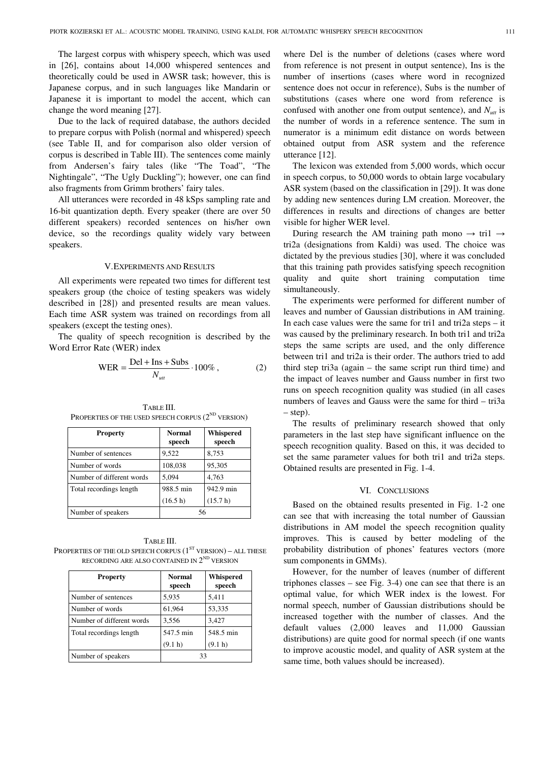The largest corpus with whispery speech, which was used in [26], contains about 14,000 whispered sentences and theoretically could be used in AWSR task; however, this is Japanese corpus, and in such languages like Mandarin or Japanese it is important to model the accent, which can change the word meaning [27].

Due to the lack of required database, the authors decided to prepare corpus with Polish (normal and whispered) speech (see Table II, and for comparison also older version of corpus is described in Table III). The sentences come mainly from Andersen's fairy tales (like "The Toad", "The Nightingale", "The Ugly Duckling"); however, one can find also fragments from Grimm brothers' fairy tales.

All utterances were recorded in 48 kSps sampling rate and 16-bit quantization depth. Every speaker (there are over 50 different speakers) recorded sentences on his/her own device, so the recordings quality widely vary between speakers.

#### V.EXPERIMENTS AND RESULTS

All experiments were repeated two times for different test speakers group (the choice of testing speakers was widely described in [28]) and presented results are mean values. Each time ASR system was trained on recordings from all speakers (except the testing ones).

The quality of speech recognition is described by the Word Error Rate (WER) index

$$
WER = \frac{Del + Ins + Subs}{N_{ut}} \cdot 100\%,\tag{2}
$$

**Property Normal speech Whispered speech**  Number of sentences 9,522 8,753 Number of words 108,038 95,305 Number of different words 5,094 4,763 Total recordings length 988.5 min  $(16.5 h)$ 942.9 min (15.7 h) Number of speakers 156

TABLE III. PROPERTIES OF THE USED SPEECH CORPUS  $(2^{ND}$  VERSION)

TABLE III. PROPERTIES OF THE OLD SPEECH CORPUS  $(1^{ST}$  VERSION) – ALL THESE RECORDING ARE ALSO CONTAINED IN  $2^{\text{\tiny{ND}}}$  version

| <b>Property</b>           | <b>Normal</b><br>speech | Whispered<br>speech |
|---------------------------|-------------------------|---------------------|
| Number of sentences       | 5,935                   | 5,411               |
| Number of words           | 61,964                  | 53,335              |
| Number of different words | 3,556                   | 3,427               |
| Total recordings length   | 547.5 min               | 548.5 min           |
|                           | (9.1 h)                 | (9.1 h)             |
| Number of speakers        | 33                      |                     |

where Del is the number of deletions (cases where word from reference is not present in output sentence), Ins is the number of insertions (cases where word in recognized sentence does not occur in reference), Subs is the number of substitutions (cases where one word from reference is confused with another one from output sentence), and  $N_{utt}$  is the number of words in a reference sentence. The sum in numerator is a minimum edit distance on words between obtained output from ASR system and the reference utterance [12].

The lexicon was extended from 5,000 words, which occur in speech corpus, to 50,000 words to obtain large vocabulary ASR system (based on the classification in [29]). It was done by adding new sentences during LM creation. Moreover, the differences in results and directions of changes are better visible for higher WER level.

During research the AM training path mono  $\rightarrow$  tri1  $\rightarrow$ tri2a (designations from Kaldi) was used. The choice was dictated by the previous studies [30], where it was concluded that this training path provides satisfying speech recognition quality and quite short training computation time simultaneously.

The experiments were performed for different number of leaves and number of Gaussian distributions in AM training. In each case values were the same for tri1 and tri2a steps – it was caused by the preliminary research. In both tri1 and tri2a steps the same scripts are used, and the only difference between tri1 and tri2a is their order. The authors tried to add third step tri3a (again – the same script run third time) and the impact of leaves number and Gauss number in first two runs on speech recognition quality was studied (in all cases numbers of leaves and Gauss were the same for third – tri3a – step).

The results of preliminary research showed that only parameters in the last step have significant influence on the speech recognition quality. Based on this, it was decided to set the same parameter values for both tri1 and tri2a steps. Obtained results are presented in Fig. 1-4.

### VI. CONCLUSIONS

Based on the obtained results presented in Fig. 1-2 one can see that with increasing the total number of Gaussian distributions in AM model the speech recognition quality improves. This is caused by better modeling of the probability distribution of phones' features vectors (more sum components in GMMs).

However, for the number of leaves (number of different triphones classes – see Fig. 3-4) one can see that there is an optimal value, for which WER index is the lowest. For normal speech, number of Gaussian distributions should be increased together with the number of classes. And the default values (2,000 leaves and 11,000 Gaussian distributions) are quite good for normal speech (if one wants to improve acoustic model, and quality of ASR system at the same time, both values should be increased).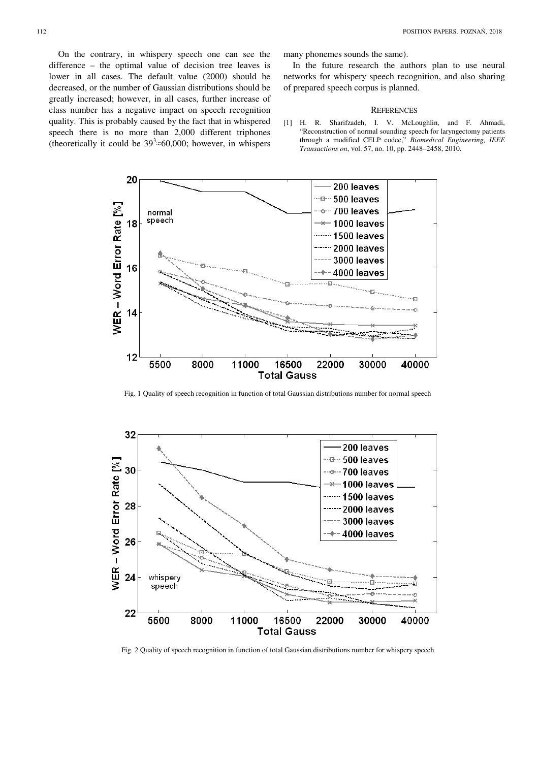On the contrary, in whispery speech one can see the difference – the optimal value of decision tree leaves is lower in all cases. The default value (2000) should be decreased, or the number of Gaussian distributions should be greatly increased; however, in all cases, further increase of class number has a negative impact on speech recognition quality. This is probably caused by the fact that in whispered speech there is no more than 2,000 different triphones (theoretically it could be  $39^3 \approx 60,000$ ; however, in whispers many phonemes sounds the same).

In the future research the authors plan to use neural networks for whispery speech recognition, and also sharing of prepared speech corpus is planned.

#### **REFERENCES**

[1] H. R. Sharifzadeh, I. V. McLoughlin, and F. Ahmadi, "Reconstruction of normal sounding speech for laryngectomy patients through a modified CELP codec," *Biomedical Engineering, IEEE Transactions on*, vol. 57, no. 10, pp. 2448–2458, 2010.



Fig. 1 Quality of speech recognition in function of total Gaussian distributions number for normal speech



Fig. 2 Quality of speech recognition in function of total Gaussian distributions number for whispery speech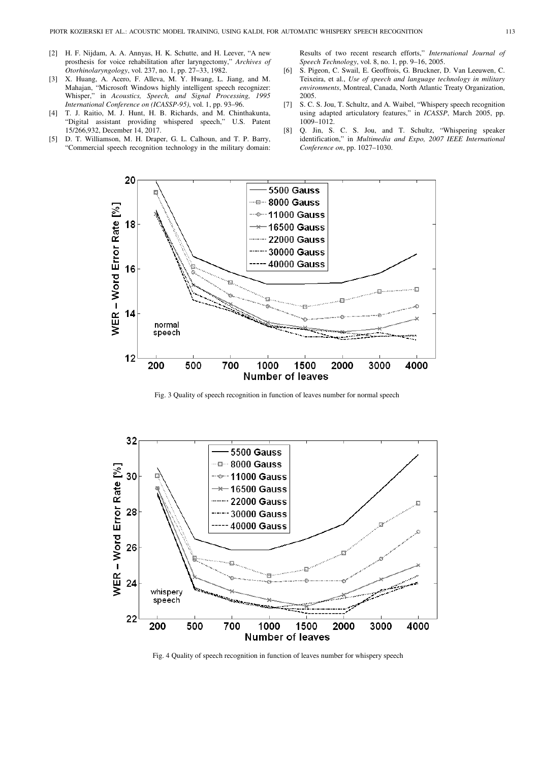- [2] H. F. Nijdam, A. A. Annyas, H. K. Schutte, and H. Leever, "A new prosthesis for voice rehabilitation after laryngectomy," *Archives of Otorhinolaryngology*, vol. 237, no. 1, pp. 27–33, 1982.
- [3] X. Huang, A. Acero, F. Alleva, M. Y. Hwang, L. Jiang, and M. Mahajan, "Microsoft Windows highly intelligent speech recognizer: Whisper," in *Acoustics, Speech, and Signal Processing, 1995 International Conference on (ICASSP-95)*, vol. 1, pp. 93–96.
- [4] T. J. Raitio, M. J. Hunt, H. B. Richards, and M. Chinthakunta, "Digital assistant providing whispered speech," U.S. Patent 15/266,932, December 14, 2017.
- [5] D. T. Williamson, M. H. Draper, G. L. Calhoun, and T. P. Barry, "Commercial speech recognition technology in the military domain:

Results of two recent research efforts," *International Journal of Speech Technology*, vol. 8, no. 1, pp. 9–16, 2005.

- [6] S. Pigeon, C. Swail, E. Geoffrois, G. Bruckner, D. Van Leeuwen, C. Teixeira, et al., *Use of speech and language technology in military environments*, Montreal, Canada, North Atlantic Treaty Organization, 2005.
- [7] S. C. S. Jou, T. Schultz, and A. Waibel, "Whispery speech recognition using adapted articulatory features," in *ICASSP*, March 2005, pp. 1009–1012.
- [8] Q. Jin, S. C. S. Jou, and T. Schultz, "Whispering speaker identification," in *Multimedia and Expo, 2007 IEEE International Conference on*, pp. 1027–1030.



Fig. 3 Quality of speech recognition in function of leaves number for normal speech



Fig. 4 Quality of speech recognition in function of leaves number for whispery speech